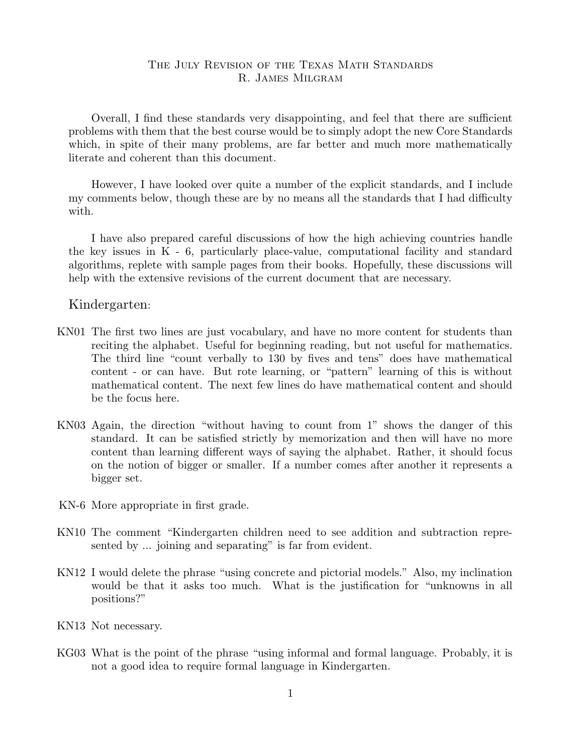# The July Revision of the Texas Math Standards R. James Milgram

Overall, I find these standards very disappointing, and feel that there are sufficient problems with them that the best course would be to simply adopt the new Core Standards which, in spite of their many problems, are far better and much more mathematically literate and coherent than this document.

However, I have looked over quite a number of the explicit standards, and I include my comments below, though these are by no means all the standards that I had difficulty with.

I have also prepared careful discussions of how the high achieving countries handle the key issues in K - 6, particularly place-value, computational facility and standard algorithms, replete with sample pages from their books. Hopefully, these discussions will help with the extensive revisions of the current document that are necessary.

### Kindergarten:

- KN01 The first two lines are just vocabulary, and have no more content for students than reciting the alphabet. Useful for beginning reading, but not useful for mathematics. The third line "count verbally to 130 by fives and tens" does have mathematical content - or can have. But rote learning, or "pattern" learning of this is without mathematical content. The next few lines do have mathematical content and should be the focus here.
- KN03 Again, the direction "without having to count from 1" shows the danger of this standard. It can be satisfied strictly by memorization and then will have no more content than learning different ways of saying the alphabet. Rather, it should focus on the notion of bigger or smaller. If a number comes after another it represents a bigger set.
- KN-6 More appropriate in first grade.
- KN10 The comment "Kindergarten children need to see addition and subtraction represented by ... joining and separating" is far from evident.
- KN12 I would delete the phrase "using concrete and pictorial models." Also, my inclination would be that it asks too much. What is the justification for "unknowns in all positions?"
- KN13 Not necessary.
- KG03 What is the point of the phrase "using informal and formal language. Probably, it is not a good idea to require formal language in Kindergarten.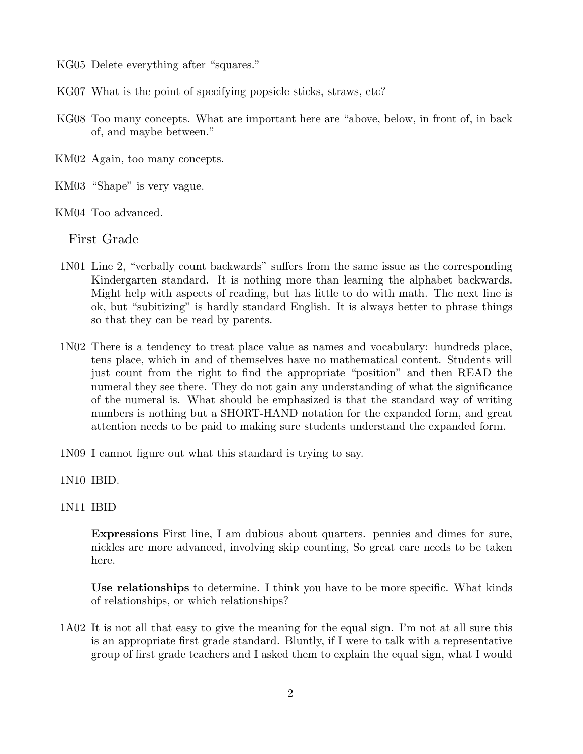- KG05 Delete everything after "squares."
- KG07 What is the point of specifying popsicle sticks, straws, etc?
- KG08 Too many concepts. What are important here are "above, below, in front of, in back of, and maybe between."
- KM02 Again, too many concepts.
- KM03 "Shape" is very vague.
- KM04 Too advanced.

First Grade

- 1N01 Line 2, "verbally count backwards" suffers from the same issue as the corresponding Kindergarten standard. It is nothing more than learning the alphabet backwards. Might help with aspects of reading, but has little to do with math. The next line is ok, but "subitizing" is hardly standard English. It is always better to phrase things so that they can be read by parents.
- 1N02 There is a tendency to treat place value as names and vocabulary: hundreds place, tens place, which in and of themselves have no mathematical content. Students will just count from the right to find the appropriate "position" and then READ the numeral they see there. They do not gain any understanding of what the significance of the numeral is. What should be emphasized is that the standard way of writing numbers is nothing but a SHORT-HAND notation for the expanded form, and great attention needs to be paid to making sure students understand the expanded form.
- 1N09 I cannot figure out what this standard is trying to say.
- 1N10 IBID.
- 1N11 IBID

**Expressions** First line, I am dubious about quarters. pennies and dimes for sure, nickles are more advanced, involving skip counting, So great care needs to be taken here.

**Use relationships** to determine. I think you have to be more specific. What kinds of relationships, or which relationships?

1A02 It is not all that easy to give the meaning for the equal sign. I'm not at all sure this is an appropriate first grade standard. Bluntly, if I were to talk with a representative group of first grade teachers and I asked them to explain the equal sign, what I would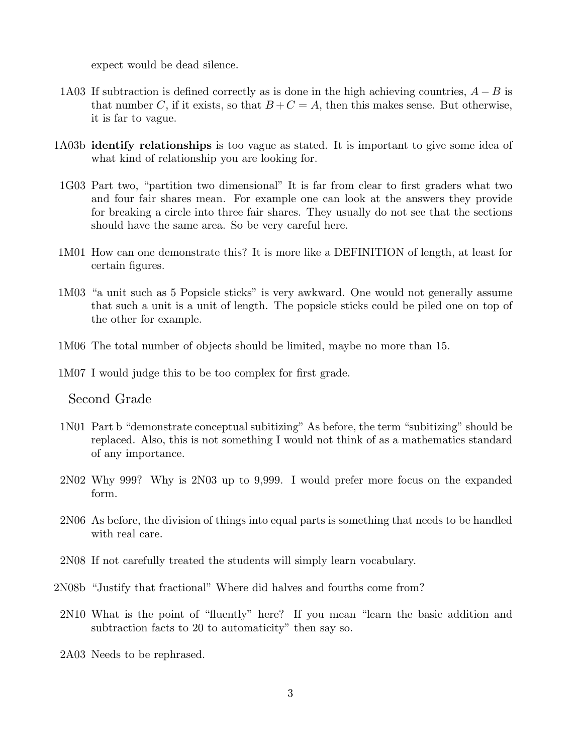expect would be dead silence.

- 1A03 If subtraction is defined correctly as is done in the high achieving countries, *A − B* is that number *C*, if it exists, so that  $B+C=A$ , then this makes sense. But otherwise, it is far to vague.
- 1A03b **identify relationships** is too vague as stated. It is important to give some idea of what kind of relationship you are looking for.
- 1G03 Part two, "partition two dimensional" It is far from clear to first graders what two and four fair shares mean. For example one can look at the answers they provide for breaking a circle into three fair shares. They usually do not see that the sections should have the same area. So be very careful here.
- 1M01 How can one demonstrate this? It is more like a DEFINITION of length, at least for certain figures.
- 1M03 "a unit such as 5 Popsicle sticks" is very awkward. One would not generally assume that such a unit is a unit of length. The popsicle sticks could be piled one on top of the other for example.
- 1M06 The total number of objects should be limited, maybe no more than 15.
- 1M07 I would judge this to be too complex for first grade.

Second Grade

- 1N01 Part b "demonstrate conceptual subitizing" As before, the term "subitizing" should be replaced. Also, this is not something I would not think of as a mathematics standard of any importance.
- 2N02 Why 999? Why is 2N03 up to 9,999. I would prefer more focus on the expanded form.
- 2N06 As before, the division of things into equal parts is something that needs to be handled with real care.
- 2N08 If not carefully treated the students will simply learn vocabulary.
- 2N08b "Justify that fractional" Where did halves and fourths come from?
- 2N10 What is the point of "fluently" here? If you mean "learn the basic addition and subtraction facts to 20 to automaticity" then say so.
- 2A03 Needs to be rephrased.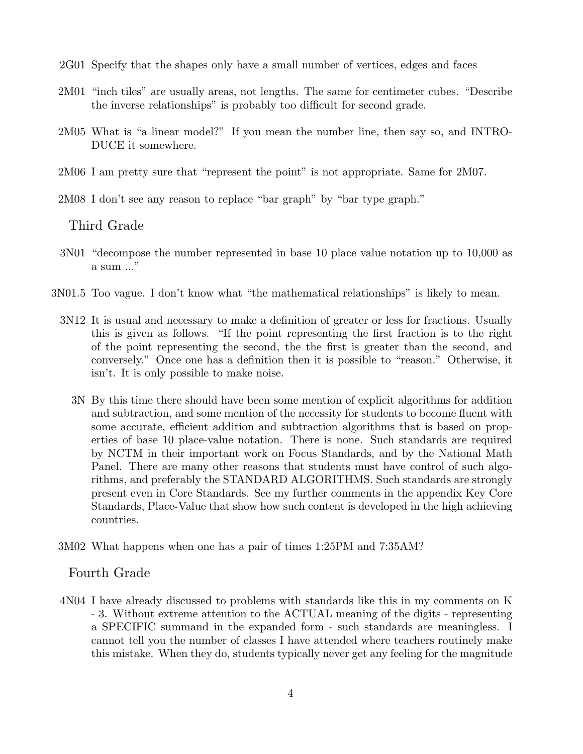2G01 Specify that the shapes only have a small number of vertices, edges and faces

- 2M01 "inch tiles" are usually areas, not lengths. The same for centimeter cubes. "Describe the inverse relationships" is probably too difficult for second grade.
- 2M05 What is "a linear model?" If you mean the number line, then say so, and INTRO-DUCE it somewhere.
- 2M06 I am pretty sure that "represent the point" is not appropriate. Same for 2M07.
- 2M08 I don't see any reason to replace "bar graph" by "bar type graph."

## Third Grade

- 3N01 "decompose the number represented in base 10 place value notation up to 10,000 as a sum ..."
- 3N01.5 Too vague. I don't know what "the mathematical relationships" is likely to mean.
	- 3N12 It is usual and necessary to make a definition of greater or less for fractions. Usually this is given as follows. "If the point representing the first fraction is to the right of the point representing the second, the the first is greater than the second, and conversely." Once one has a definition then it is possible to "reason." Otherwise, it isn't. It is only possible to make noise.
		- 3N By this time there should have been some mention of explicit algorithms for addition and subtraction, and some mention of the necessity for students to become fluent with some accurate, efficient addition and subtraction algorithms that is based on properties of base 10 place-value notation. There is none. Such standards are required by NCTM in their important work on Focus Standards, and by the National Math Panel. There are many other reasons that students must have control of such algorithms, and preferably the STANDARD ALGORITHMS. Such standards are strongly present even in Core Standards. See my further comments in the appendix Key Core Standards, Place-Value that show how such content is developed in the high achieving countries.
	- 3M02 What happens when one has a pair of times 1:25PM and 7:35AM?

### Fourth Grade

4N04 I have already discussed to problems with standards like this in my comments on K - 3. Without extreme attention to the ACTUAL meaning of the digits - representing a SPECIFIC summand in the expanded form - such standards are meaningless. I cannot tell you the number of classes I have attended where teachers routinely make this mistake. When they do, students typically never get any feeling for the magnitude